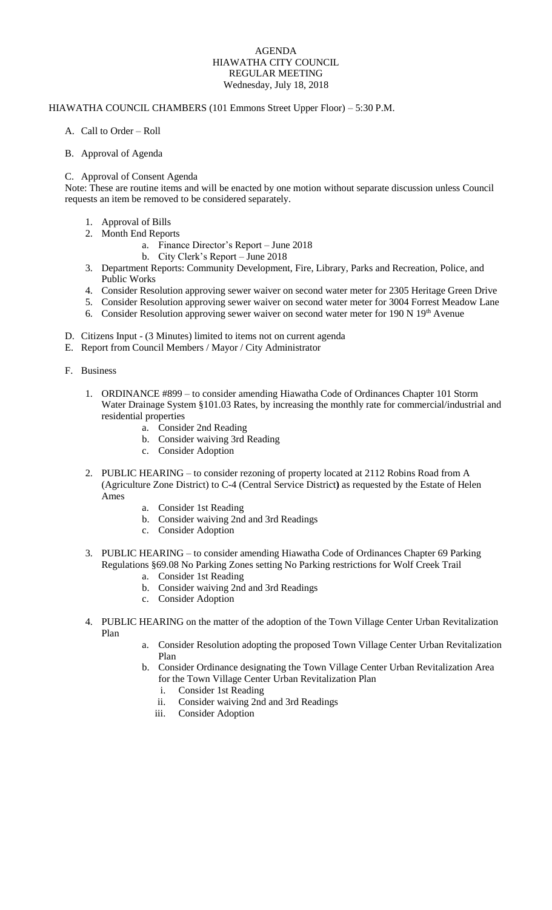## AGENDA HIAWATHA CITY COUNCIL REGULAR MEETING Wednesday, July 18, 2018

## HIAWATHA COUNCIL CHAMBERS (101 Emmons Street Upper Floor) – 5:30 P.M.

- A. Call to Order Roll
- B. Approval of Agenda

## C. Approval of Consent Agenda

Note: These are routine items and will be enacted by one motion without separate discussion unless Council requests an item be removed to be considered separately.

- 1. Approval of Bills
- 2. Month End Reports
	- a. Finance Director's Report June 2018
	- b. City Clerk's Report June 2018
- 3. Department Reports: Community Development, Fire, Library, Parks and Recreation, Police, and Public Works
- 4. Consider Resolution approving sewer waiver on second water meter for 2305 Heritage Green Drive
- 5. Consider Resolution approving sewer waiver on second water meter for 3004 Forrest Meadow Lane
- 6. Consider Resolution approving sewer waiver on second water meter for 190 N 19<sup>th</sup> Avenue
- D. Citizens Input (3 Minutes) limited to items not on current agenda
- E. Report from Council Members / Mayor / City Administrator
- F. Business
	- 1. ORDINANCE #899 to consider amending Hiawatha Code of Ordinances Chapter 101 Storm Water Drainage System §101.03 Rates, by increasing the monthly rate for commercial/industrial and residential properties
		- a. Consider 2nd Reading
		- b. Consider waiving 3rd Reading
		- c. Consider Adoption
	- 2. PUBLIC HEARING to consider rezoning of property located at 2112 Robins Road from A (Agriculture Zone District) to C-4 (Central Service District**)** as requested by the Estate of Helen Ames
		- a. Consider 1st Reading
		- b. Consider waiving 2nd and 3rd Readings
		- c. Consider Adoption
	- 3. PUBLIC HEARING to consider amending Hiawatha Code of Ordinances Chapter 69 Parking Regulations §69.08 No Parking Zones setting No Parking restrictions for Wolf Creek Trail
		- a. Consider 1st Reading
		- b. Consider waiving 2nd and 3rd Readings
		- c. Consider Adoption
	- 4. PUBLIC HEARING on the matter of the adoption of the Town Village Center Urban Revitalization Plan
		- a. Consider Resolution adopting the proposed Town Village Center Urban Revitalization Plan
		- b. Consider Ordinance designating the Town Village Center Urban Revitalization Area for the Town Village Center Urban Revitalization Plan
			- i. Consider 1st Reading
			- ii. Consider waiving 2nd and 3rd Readings
			- iii. Consider Adoption